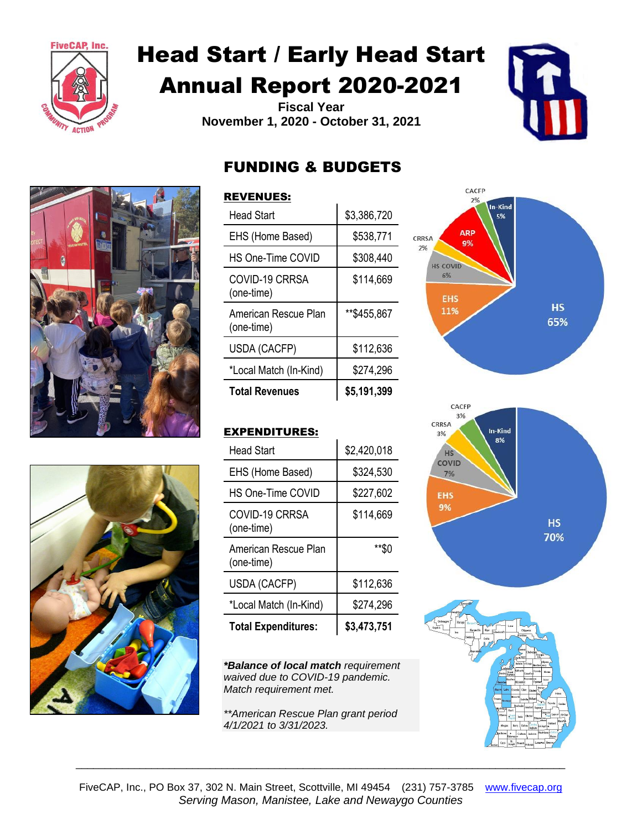

# Head Start / Early Head Start Annual Report 2020-2021

**Fiscal Year November 1, 2020 - October 31, 2021**







# FUNDING & BUDGETS

### REVENUES:

| <b>Head Start</b>                  | \$3,386,720 |
|------------------------------------|-------------|
| EHS (Home Based)                   | \$538,771   |
| HS One-Time COVID                  | \$308,440   |
| COVID-19 CRRSA<br>(one-time)       | \$114,669   |
| American Rescue Plan<br>(one-time) | **\$455,867 |
| USDA (CACFP)                       | \$112,636   |
| *Local Match (In-Kind)             | \$274,296   |
| <b>Total Revenues</b>              | \$5,191,399 |



# EXPENDITURES:

| <b>Head Start</b>                  | \$2,420,018 |
|------------------------------------|-------------|
| EHS (Home Based)                   | \$324,530   |
| HS One-Time COVID                  | \$227,602   |
| COVID-19 CRRSA<br>(one-time)       | \$114,669   |
| American Rescue Plan<br>(one-time) | **\$0       |
| USDA (CACFP)                       | \$112,636   |
| *Local Match (In-Kind)             | \$274,296   |
| <b>Total Expenditures:</b>         | \$3,473,751 |

*\*Balance of local match requirement waived due to COVID-19 pandemic. Match requirement met.*

*\*\*American Rescue Plan grant period 4/1/2021 to 3/31/2023.* 





\_\_\_\_\_\_\_\_\_\_\_\_\_\_\_\_\_\_\_\_\_\_\_\_\_\_\_\_\_\_\_\_\_\_\_\_\_\_\_\_\_\_\_\_\_\_\_\_\_\_\_\_\_\_\_\_\_\_\_\_\_\_\_\_\_\_\_\_\_\_\_\_\_\_\_\_\_\_\_\_\_\_\_\_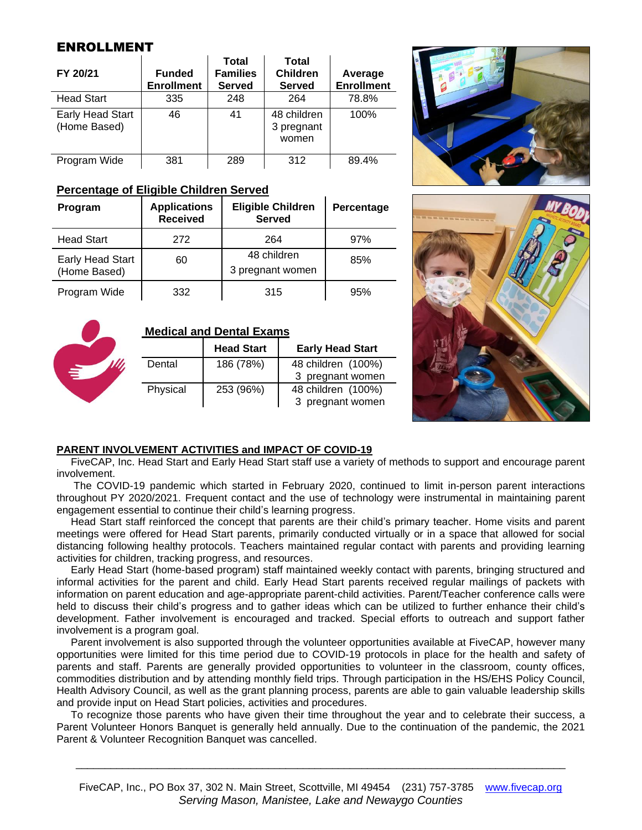## ENROLLMENT

| FY 20/21                         | <b>Funded</b><br><b>Enrollment</b> | <b>Total</b><br><b>Families</b><br><b>Served</b> | Total<br><b>Children</b><br><b>Served</b> | Average<br><b>Enrollment</b> |
|----------------------------------|------------------------------------|--------------------------------------------------|-------------------------------------------|------------------------------|
| <b>Head Start</b>                | 335                                | 248                                              | 264                                       | 78.8%                        |
| Early Head Start<br>(Home Based) | 46                                 | 41                                               | 48 children<br>3 pregnant<br>women        | 100%                         |
| Program Wide                     | 381                                | 289                                              | 312                                       | 89.4%                        |

#### **Percentage of Eligible Children Served**

| Program                          | <b>Applications</b><br><b>Received</b> | <b>Eligible Children</b><br><b>Served</b> | Percentage |
|----------------------------------|----------------------------------------|-------------------------------------------|------------|
| <b>Head Start</b>                | 272                                    | 264                                       | 97%        |
| Early Head Start<br>(Home Based) | 60                                     | 48 children<br>3 pregnant women           | 85%        |
| Program Wide                     | 332                                    | 315                                       | 95%        |



#### **Medical and Dental Exams**

|          | <b>Head Start</b> | <b>Early Head Start</b> |
|----------|-------------------|-------------------------|
| Dental   | 186 (78%)         | 48 children (100%)      |
|          |                   | 3 pregnant women        |
| Physical | 253 (96%)         | 48 children (100%)      |
|          |                   | 3 pregnant women        |





#### **PARENT INVOLVEMENT ACTIVITIES and IMPACT OF COVID-19**

FiveCAP, Inc. Head Start and Early Head Start staff use a variety of methods to support and encourage parent involvement.

The COVID-19 pandemic which started in February 2020, continued to limit in-person parent interactions throughout PY 2020/2021. Frequent contact and the use of technology were instrumental in maintaining parent engagement essential to continue their child's learning progress.

Head Start staff reinforced the concept that parents are their child's primary teacher. Home visits and parent meetings were offered for Head Start parents, primarily conducted virtually or in a space that allowed for social distancing following healthy protocols. Teachers maintained regular contact with parents and providing learning activities for children, tracking progress, and resources.

Early Head Start (home-based program) staff maintained weekly contact with parents, bringing structured and informal activities for the parent and child. Early Head Start parents received regular mailings of packets with information on parent education and age-appropriate parent-child activities. Parent/Teacher conference calls were held to discuss their child's progress and to gather ideas which can be utilized to further enhance their child's development. Father involvement is encouraged and tracked. Special efforts to outreach and support father involvement is a program goal.

Parent involvement is also supported through the volunteer opportunities available at FiveCAP, however many opportunities were limited for this time period due to COVID-19 protocols in place for the health and safety of parents and staff. Parents are generally provided opportunities to volunteer in the classroom, county offices, commodities distribution and by attending monthly field trips. Through participation in the HS/EHS Policy Council, Health Advisory Council, as well as the grant planning process, parents are able to gain valuable leadership skills and provide input on Head Start policies, activities and procedures.

To recognize those parents who have given their time throughout the year and to celebrate their success, a Parent Volunteer Honors Banquet is generally held annually. Due to the continuation of the pandemic, the 2021 Parent & Volunteer Recognition Banquet was cancelled.

\_\_\_\_\_\_\_\_\_\_\_\_\_\_\_\_\_\_\_\_\_\_\_\_\_\_\_\_\_\_\_\_\_\_\_\_\_\_\_\_\_\_\_\_\_\_\_\_\_\_\_\_\_\_\_\_\_\_\_\_\_\_\_\_\_\_\_\_\_\_\_\_\_\_\_\_\_\_\_\_\_\_\_\_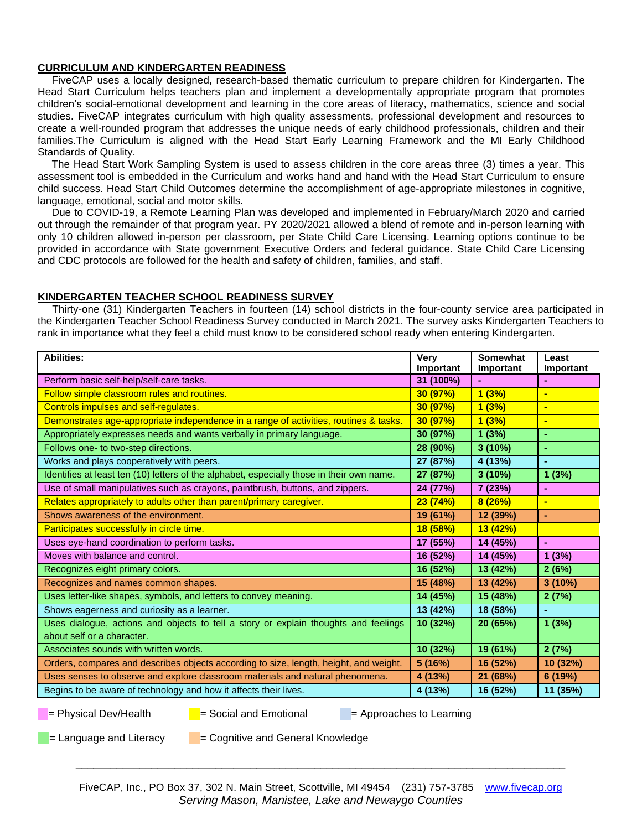#### **CURRICULUM AND KINDERGARTEN READINESS**

FiveCAP uses a locally designed, research-based thematic curriculum to prepare children for Kindergarten. The Head Start Curriculum helps teachers plan and implement a developmentally appropriate program that promotes children's social-emotional development and learning in the core areas of literacy, mathematics, science and social studies. FiveCAP integrates curriculum with high quality assessments, professional development and resources to create a well-rounded program that addresses the unique needs of early childhood professionals, children and their families.The Curriculum is aligned with the Head Start Early Learning Framework and the MI Early Childhood Standards of Quality.

The Head Start Work Sampling System is used to assess children in the core areas three (3) times a year. This assessment tool is embedded in the Curriculum and works hand and hand with the Head Start Curriculum to ensure child success. Head Start Child Outcomes determine the accomplishment of age-appropriate milestones in cognitive, language, emotional, social and motor skills.

Due to COVID-19, a Remote Learning Plan was developed and implemented in February/March 2020 and carried out through the remainder of that program year. PY 2020/2021 allowed a blend of remote and in-person learning with only 10 children allowed in-person per classroom, per State Child Care Licensing. Learning options continue to be provided in accordance with State government Executive Orders and federal guidance. State Child Care Licensing and CDC protocols are followed for the health and safety of children, families, and staff.

#### **KINDERGARTEN TEACHER SCHOOL READINESS SURVEY**

 Thirty-one (31) Kindergarten Teachers in fourteen (14) school districts in the four-county service area participated in the Kindergarten Teacher School Readiness Survey conducted in March 2021. The survey asks Kindergarten Teachers to rank in importance what they feel a child must know to be considered school ready when entering Kindergarten.

| <b>Abilities:</b>                                                                         | <b>Very</b><br>Important | <b>Somewhat</b><br>Important | Least<br>Important |
|-------------------------------------------------------------------------------------------|--------------------------|------------------------------|--------------------|
| Perform basic self-help/self-care tasks.                                                  | 31 (100%)                |                              |                    |
| Follow simple classroom rules and routines.                                               | 30 (97%)                 | 1(3%)                        | $\blacksquare$     |
| Controls impulses and self-regulates.                                                     | 30 (97%)                 | 1(3%)                        | н                  |
| Demonstrates age-appropriate independence in a range of activities, routines & tasks.     | 30 (97%)                 | 1(3%)                        | $\blacksquare$     |
| Appropriately expresses needs and wants verbally in primary language.                     | 30 (97%)                 | 1(3%)                        | $\blacksquare$     |
| Follows one- to two-step directions.                                                      | 28 (90%)                 | 3(10%)                       | ÷                  |
| Works and plays cooperatively with peers.                                                 | 27 (87%)                 | 4 (13%)                      | $\blacksquare$     |
| Identifies at least ten (10) letters of the alphabet, especially those in their own name. | 27 (87%)                 | 3(10%)                       | 1(3%)              |
| Use of small manipulatives such as crayons, paintbrush, buttons, and zippers.             | 24 (77%)                 | 7(23%)                       | $\blacksquare$     |
| Relates appropriately to adults other than parent/primary caregiver.                      | 23(74%)                  | 8(26%)                       | ÷                  |
| Shows awareness of the environment.                                                       | 19 (61%)                 | 12 (39%)                     | ä,                 |
| Participates successfully in circle time.                                                 | 18 (58%)                 | 13 (42%)                     |                    |
| Uses eye-hand coordination to perform tasks.                                              | 17 (55%)                 | 14 (45%)                     | $\mathbf{r}$       |
| Moves with balance and control.                                                           | 16 (52%)                 | 14 (45%)                     | 1(3%)              |
| Recognizes eight primary colors.                                                          | 16 (52%)                 | 13 (42%)                     | 2(6%)              |
| Recognizes and names common shapes.                                                       |                          | 13 (42%)                     | 3(10%)             |
| Uses letter-like shapes, symbols, and letters to convey meaning.                          | 14 (45%)                 | 15 (48%)                     | 2(7%)              |
| Shows eagerness and curiosity as a learner.                                               | 13 (42%)                 | 18 (58%)                     | $\blacksquare$     |
| Uses dialogue, actions and objects to tell a story or explain thoughts and feelings       | 10 (32%)                 | 20 (65%)                     | 1(3%)              |
| about self or a character.                                                                |                          |                              |                    |
| Associates sounds with written words.                                                     | 10 (32%)                 | 19 (61%)                     | 2(7%)              |
| Orders, compares and describes objects according to size, length, height, and weight.     | 5 (16%)                  | 16 (52%)                     | 10 (32%)           |
| Uses senses to observe and explore classroom materials and natural phenomena.             | 4 (13%)                  | 21 (68%)                     | 6 (19%)            |
| Begins to be aware of technology and how it affects their lives.                          | 4 (13%)                  | 16 (52%)                     | 11 (35%)           |

 $=$  Physical Dev/Health  $=$  Social and Emotional  $=$  Approaches to Learning

 $=$  Language and Literacy  $=$  Cognitive and General Knowledge

\_\_\_\_\_\_\_\_\_\_\_\_\_\_\_\_\_\_\_\_\_\_\_\_\_\_\_\_\_\_\_\_\_\_\_\_\_\_\_\_\_\_\_\_\_\_\_\_\_\_\_\_\_\_\_\_\_\_\_\_\_\_\_\_\_\_\_\_\_\_\_\_\_\_\_\_\_\_\_\_\_\_\_\_